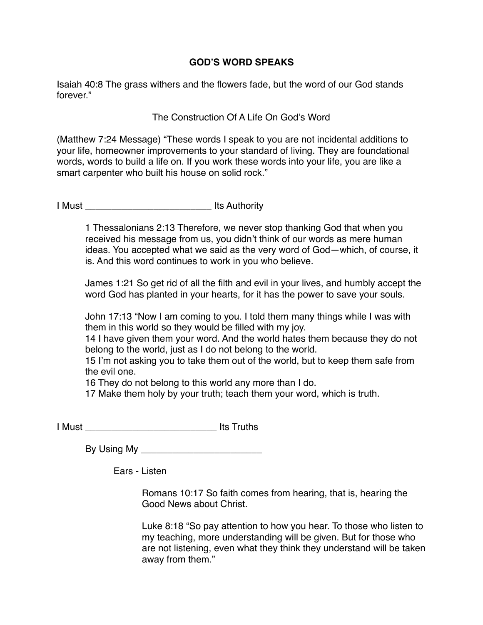## **GOD'S WORD SPEAKS**

Isaiah 40:8 The grass withers and the flowers fade, but the word of our God stands forever."

## The Construction Of A Life On God's Word

(Matthew 7:24 Message) "These words I speak to you are not incidental additions to your life, homeowner improvements to your standard of living. They are foundational words, words to build a life on. If you work these words into your life, you are like a smart carpenter who built his house on solid rock."

I Must **I Must I** Must **I** Must **I** Must **I** Must **I** Must **I** Must **I** Must **I** Must **I** Must **I** Must **I** Must **I** Must **I** Must **I** Must **I** Must **I** Must **I** Must **I** Must **I** Must **I** Must **I** Must **I** Must **I** Must

1 Thessalonians 2:13 Therefore, we never stop thanking God that when you received his message from us, you didn't think of our words as mere human ideas. You accepted what we said as the very word of God—which, of course, it is. And this word continues to work in you who believe.

James 1:21 So get rid of all the filth and evil in your lives, and humbly accept the word God has planted in your hearts, for it has the power to save your souls.

John 17:13 "Now I am coming to you. I told them many things while I was with them in this world so they would be filled with my joy.

14 I have given them your word. And the world hates them because they do not belong to the world, just as I do not belong to the world.

15 I'm not asking you to take them out of the world, but to keep them safe from the evil one.

16 They do not belong to this world any more than I do.

17 Make them holy by your truth; teach them your word, which is truth.

I Must \_\_\_\_\_\_\_\_\_\_\_\_\_\_\_\_\_\_\_\_\_\_\_\_\_ Its Truths

By Using My **Example 20** 

Ears - Listen

Romans 10:17 So faith comes from hearing, that is, hearing the Good News about Christ.

Luke 8:18 "So pay attention to how you hear. To those who listen to my teaching, more understanding will be given. But for those who are not listening, even what they think they understand will be taken away from them."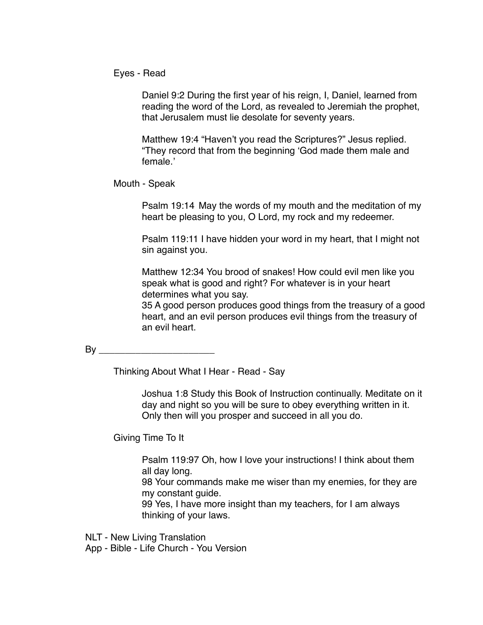Eyes - Read

Daniel 9:2 During the first year of his reign, I, Daniel, learned from reading the word of the Lord, as revealed to Jeremiah the prophet, that Jerusalem must lie desolate for seventy years.

Matthew 19:4 "Haven't you read the Scriptures?" Jesus replied. "They record that from the beginning 'God made them male and female.'

Mouth - Speak

Psalm 19:14 May the words of my mouth and the meditation of my heart be pleasing to you, O Lord, my rock and my redeemer.

Psalm 119:11 I have hidden your word in my heart, that I might not sin against you.

Matthew 12:34 You brood of snakes! How could evil men like you speak what is good and right? For whatever is in your heart determines what you say.

35 A good person produces good things from the treasury of a good heart, and an evil person produces evil things from the treasury of an evil heart.

By \_\_\_\_\_\_\_\_\_\_\_\_\_\_\_\_\_\_\_\_\_\_

Thinking About What I Hear - Read - Say

Joshua 1:8 Study this Book of Instruction continually. Meditate on it day and night so you will be sure to obey everything written in it. Only then will you prosper and succeed in all you do.

Giving Time To It

Psalm 119:97 Oh, how I love your instructions! I think about them all day long.

98 Your commands make me wiser than my enemies, for they are my constant guide.

99 Yes, I have more insight than my teachers, for I am always thinking of your laws.

NLT - New Living Translation

App - Bible - Life Church - You Version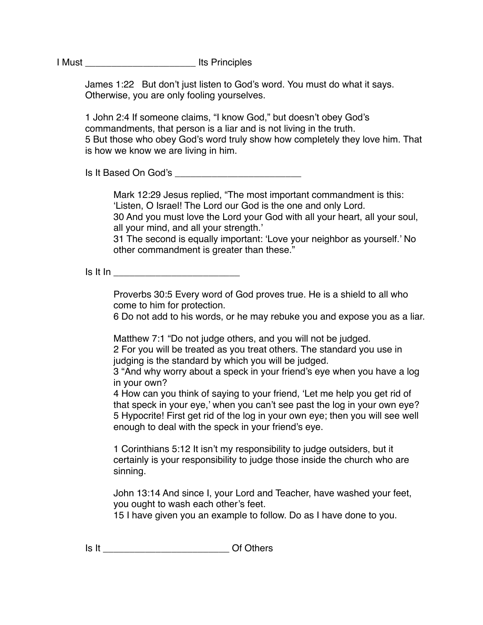I Must \_\_\_\_\_\_\_\_\_\_\_\_\_\_\_\_\_\_\_\_\_ Its Principles

James 1:22 But don't just listen to God's word. You must do what it says. Otherwise, you are only fooling yourselves.

1 John 2:4 If someone claims, "I know God," but doesn't obey God's commandments, that person is a liar and is not living in the truth. 5 But those who obey God's word truly show how completely they love him. That is how we know we are living in him.

Is It Based On God's \_\_\_\_\_\_\_\_\_\_\_\_\_\_\_\_\_\_\_\_\_\_\_\_

Mark 12:29 Jesus replied, "The most important commandment is this: 'Listen, O Israel! The Lord our God is the one and only Lord.

30 And you must love the Lord your God with all your heart, all your soul, all your mind, and all your strength.'

31 The second is equally important: 'Love your neighbor as yourself.' No other commandment is greater than these."

 $\mathsf{Is} \mathsf{It} \mathsf{In}$ 

Proverbs 30:5 Every word of God proves true. He is a shield to all who come to him for protection.

6 Do not add to his words, or he may rebuke you and expose you as a liar.

Matthew 7:1 "Do not judge others, and you will not be judged. 2 For you will be treated as you treat others. The standard you use in judging is the standard by which you will be judged.

3 "And why worry about a speck in your friend's eye when you have a log in your own?

4 How can you think of saying to your friend, 'Let me help you get rid of that speck in your eye,' when you can't see past the log in your own eye? 5 Hypocrite! First get rid of the log in your own eye; then you will see well enough to deal with the speck in your friend's eye.

1 Corinthians 5:12 It isn't my responsibility to judge outsiders, but it certainly is your responsibility to judge those inside the church who are sinning.

John 13:14 And since I, your Lord and Teacher, have washed your feet, you ought to wash each other's feet.

15 I have given you an example to follow. Do as I have done to you.

Is It **If a contract of Others**